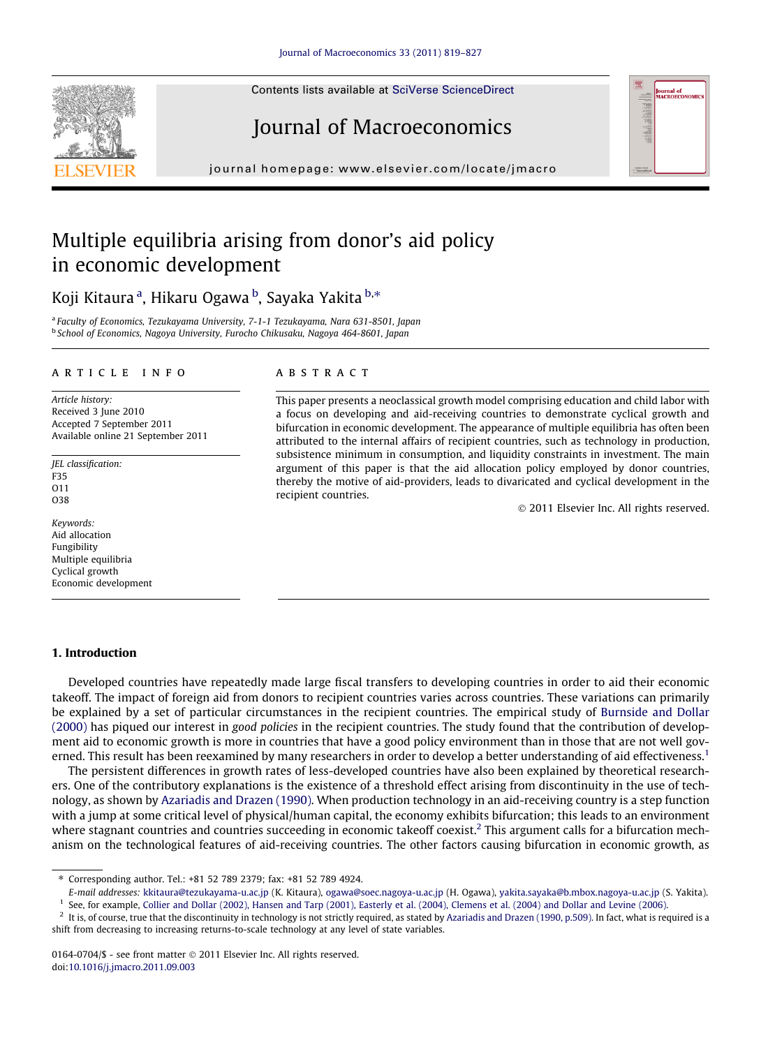Contents lists available at [SciVerse ScienceDirect](http://www.sciencedirect.com/science/journal/01640704)

# Journal of Macroeconomics

journal homepage: [www.elsevier.com/locate/jmacro](http://www.elsevier.com/locate/jmacro)

# Multiple equilibria arising from donor's aid policy in economic development

Koji Kitaura <sup>a</sup>, Hikaru Ogawa <sup>b</sup>, Sayaka Yakita <sup>b,</sup>\*

<sup>a</sup> Faculty of Economics, Tezukayama University, 7-1-1 Tezukayama, Nara 631-8501, Japan <sup>b</sup> School of Economics, Nagoya University, Furocho Chikusaku, Nagoya 464-8601, Japan

#### article info

Article history: Received 3 June 2010 Accepted 7 September 2011 Available online 21 September 2011

JEL classification: F35 O11 O38

Keywords: Aid allocation Fungibility Multiple equilibria Cyclical growth Economic development

## 1. Introduction

**ABSTRACT** 

This paper presents a neoclassical growth model comprising education and child labor with a focus on developing and aid-receiving countries to demonstrate cyclical growth and bifurcation in economic development. The appearance of multiple equilibria has often been attributed to the internal affairs of recipient countries, such as technology in production, subsistence minimum in consumption, and liquidity constraints in investment. The main argument of this paper is that the aid allocation policy employed by donor countries, thereby the motive of aid-providers, leads to divaricated and cyclical development in the recipient countries.

- 2011 Elsevier Inc. All rights reserved.

Developed countries have repeatedly made large fiscal transfers to developing countries in order to aid their economic takeoff. The impact of foreign aid from donors to recipient countries varies across countries. These variations can primarily be explained by a set of particular circumstances in the recipient countries. The empirical study of [Burnside and Dollar](#page--1-0) [\(2000\)](#page--1-0) has piqued our interest in good policies in the recipient countries. The study found that the contribution of development aid to economic growth is more in countries that have a good policy environment than in those that are not well governed. This result has been reexamined by many researchers in order to develop a better understanding of aid effectiveness.<sup>1</sup>

The persistent differences in growth rates of less-developed countries have also been explained by theoretical researchers. One of the contributory explanations is the existence of a threshold effect arising from discontinuity in the use of technology, as shown by [Azariadis and Drazen \(1990\).](#page--1-0) When production technology in an aid-receiving country is a step function with a jump at some critical level of physical/human capital, the economy exhibits bifurcation; this leads to an environment where stagnant countries and countries succeeding in economic takeoff coexist.<sup>2</sup> This argument calls for a bifurcation mechanism on the technological features of aid-receiving countries. The other factors causing bifurcation in economic growth, as





<sup>⇑</sup> Corresponding author. Tel.: +81 52 789 2379; fax: +81 52 789 4924.

E-mail addresses: [kkitaura@tezukayama-u.ac.jp](mailto:kkitaura@tezukayama-u.ac.jp) (K. Kitaura), [ogawa@soec.nagoya-u.ac.jp](mailto:ogawa@soec.nagoya-u.ac.jp) (H. Ogawa), [yakita.sayaka@b.mbox.nagoya-u.ac.jp](mailto:yakita.sayaka@b.mbox.nagoya-u.ac.jp) (S. Yakita).

<sup>&</sup>lt;sup>1</sup> See, for example, [Collier and Dollar \(2002\), Hansen and Tarp \(2001\), Easterly et al. \(2004\), Clemens et al. \(2004\) and Dollar and Levine \(2006\)](#page--1-0).

 $^2$  It is, of course, true that the discontinuity in technology is not strictly required, as stated by [Azariadis and Drazen \(1990, p.509\)](#page--1-0). In fact, what is required is a shift from decreasing to increasing returns-to-scale technology at any level of state variables.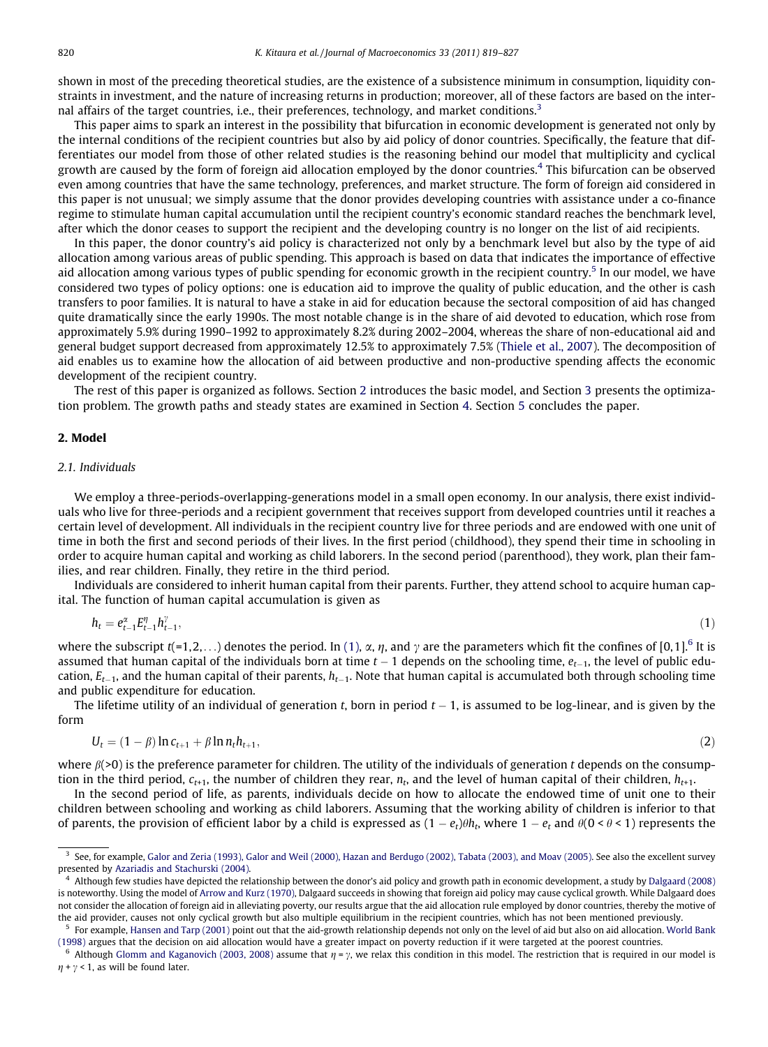shown in most of the preceding theoretical studies, are the existence of a subsistence minimum in consumption, liquidity constraints in investment, and the nature of increasing returns in production; moreover, all of these factors are based on the internal affairs of the target countries, i.e., their preferences, technology, and market conditions.<sup>3</sup>

This paper aims to spark an interest in the possibility that bifurcation in economic development is generated not only by the internal conditions of the recipient countries but also by aid policy of donor countries. Specifically, the feature that differentiates our model from those of other related studies is the reasoning behind our model that multiplicity and cyclical growth are caused by the form of foreign aid allocation employed by the donor countries.<sup>4</sup> This bifurcation can be observed even among countries that have the same technology, preferences, and market structure. The form of foreign aid considered in this paper is not unusual; we simply assume that the donor provides developing countries with assistance under a co-finance regime to stimulate human capital accumulation until the recipient country's economic standard reaches the benchmark level, after which the donor ceases to support the recipient and the developing country is no longer on the list of aid recipients.

In this paper, the donor country's aid policy is characterized not only by a benchmark level but also by the type of aid allocation among various areas of public spending. This approach is based on data that indicates the importance of effective aid allocation among various types of public spending for economic growth in the recipient country.<sup>5</sup> In our model, we have considered two types of policy options: one is education aid to improve the quality of public education, and the other is cash transfers to poor families. It is natural to have a stake in aid for education because the sectoral composition of aid has changed quite dramatically since the early 1990s. The most notable change is in the share of aid devoted to education, which rose from approximately 5.9% during 1990–1992 to approximately 8.2% during 2002–2004, whereas the share of non-educational aid and general budget support decreased from approximately 12.5% to approximately 7.5% [\(Thiele et al., 2007](#page--1-0)). The decomposition of aid enables us to examine how the allocation of aid between productive and non-productive spending affects the economic development of the recipient country.

The rest of this paper is organized as follows. Section 2 introduces the basic model, and Section 3 presents the optimization problem. The growth paths and steady states are examined in Section 4. Section 5 concludes the paper.

### 2. Model

### 2.1. Individuals

We employ a three-periods-overlapping-generations model in a small open economy. In our analysis, there exist individuals who live for three-periods and a recipient government that receives support from developed countries until it reaches a certain level of development. All individuals in the recipient country live for three periods and are endowed with one unit of time in both the first and second periods of their lives. In the first period (childhood), they spend their time in schooling in order to acquire human capital and working as child laborers. In the second period (parenthood), they work, plan their families, and rear children. Finally, they retire in the third period.

Individuals are considered to inherit human capital from their parents. Further, they attend school to acquire human capital. The function of human capital accumulation is given as

$$
h_t = e_{t-1}^{\alpha} E_{t-1}^{\eta} h_{t-1}^{\gamma}, \tag{1}
$$

where the subscript  $t(=1,2,...)$  denotes the period. In (1),  $\alpha$ ,  $\eta$ , and  $\gamma$  are the parameters which fit the confines of [0,1].<sup>6</sup> It is assumed that human capital of the individuals born at time  $t-1$  depends on the schooling time,  $e_{t-1}$ , the level of public education,  $E_{t-1}$ , and the human capital of their parents,  $h_{t-1}$ . Note that human capital is accumulated both through schooling time and public expenditure for education.

The lifetime utility of an individual of generation t, born in period  $t-1$ , is assumed to be log-linear, and is given by the form

$$
U_t = (1 - \beta) \ln c_{t+1} + \beta \ln n_t h_{t+1},
$$
\n(2)

where  $\beta$ (>0) is the preference parameter for children. The utility of the individuals of generation t depends on the consumption in the third period,  $c_{t+1}$ , the number of children they rear,  $n_t$ , and the level of human capital of their children,  $h_{t+1}$ .

In the second period of life, as parents, individuals decide on how to allocate the endowed time of unit one to their children between schooling and working as child laborers. Assuming that the working ability of children is inferior to that of parents, the provision of efficient labor by a child is expressed as  $(1-e_t)\theta h_t$ , where  $1-e_t$  and  $\theta(0\leq \theta\leq 1)$  represents the

 $3$  See, for example, [Galor and Zeria \(1993\), Galor and Weil \(2000\), Hazan and Berdugo \(2002\), Tabata \(2003\), and Moav \(2005\).](#page--1-0) See also the excellent survey presented by [Azariadis and Stachurski \(2004\)](#page--1-0).

<sup>4</sup> Although few studies have depicted the relationship between the donor's aid policy and growth path in economic development, a study by [Dalgaard \(2008\)](#page--1-0) is noteworthy. Using the model of [Arrow and Kurz \(1970\),](#page--1-0) Dalgaard succeeds in showing that foreign aid policy may cause cyclical growth. While Dalgaard does not consider the allocation of foreign aid in alleviating poverty, our results argue that the aid allocation rule employed by donor countries, thereby the motive of the aid provider, causes not only cyclical growth but also multiple equilibrium in the recipient countries, which has not been mentioned previously.

For example, [Hansen and Tarp \(2001\)](#page--1-0) point out that the aid-growth relationship depends not only on the level of aid but also on aid allocation. [World Bank](#page--1-0) [\(1998\)](#page--1-0) argues that the decision on aid allocation would have a greater impact on poverty reduction if it were targeted at the poorest countries.

<sup>&</sup>lt;sup>6</sup> Although [Glomm and Kaganovich \(2003, 2008\)](#page--1-0) assume that  $\eta$  =  $\gamma$ , we relax this condition in this model. The restriction that is required in our model is  $\eta$  +  $\gamma$  < 1, as will be found later.